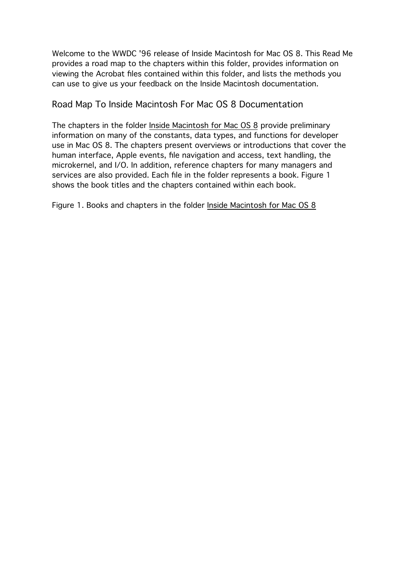Welcome to the WWDC '96 release of Inside Macintosh for Mac OS 8. This Read Me provides a road map to the chapters within this folder, provides information on viewing the Acrobat files contained within this folder, and lists the methods you can use to give us your feedback on the Inside Macintosh documentation.

### Road Map To Inside Macintosh For Mac OS 8 Documentation

The chapters in the folder Inside Macintosh for Mac OS 8 provide preliminary information on many of the constants, data types, and functions for developer use in Mac OS 8. The chapters present overviews or introductions that cover the human interface, Apple events, file navigation and access, text handling, the microkernel, and I/O. In addition, reference chapters for many managers and services are also provided. Each file in the folder represents a book. Figure 1 shows the book titles and the chapters contained within each book.

Figure 1. Books and chapters in the folder Inside Macintosh for Mac OS 8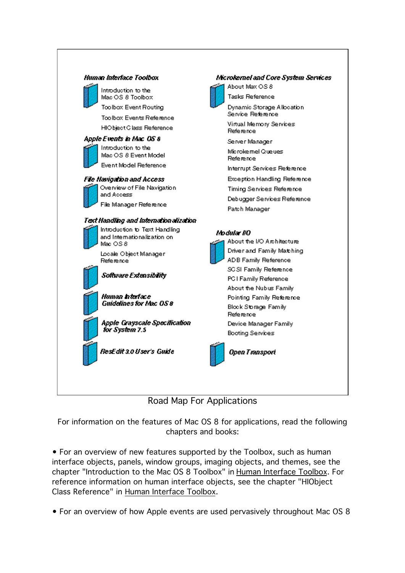

Road Map For Applications

For information on the features of Mac OS 8 for applications, read the following chapters and books:

• For an overview of new features supported by the Toolbox, such as human interface objects, panels, window groups, imaging objects, and themes, see the chapter "Introduction to the Mac OS 8 Toolbox" in Human Interface Toolbox. For reference information on human interface objects, see the chapter "HIObject Class Reference" in Human Interface Toolbox.

• For an overview of how Apple events are used pervasively throughout Mac OS 8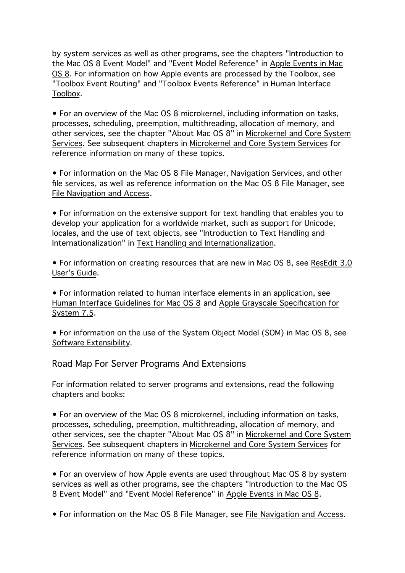by system services as well as other programs, see the chapters "Introduction to the Mac OS 8 Event Model" and "Event Model Reference" in Apple Events in Mac OS 8. For information on how Apple events are processed by the Toolbox, see "Toolbox Event Routing" and "Toolbox Events Reference" in Human Interface Toolbox.

• For an overview of the Mac OS 8 microkernel, including information on tasks, processes, scheduling, preemption, multithreading, allocation of memory, and other services, see the chapter "About Mac OS 8" in Microkernel and Core System Services. See subsequent chapters in Microkernel and Core System Services for reference information on many of these topics.

• For information on the Mac OS 8 File Manager, Navigation Services, and other file services, as well as reference information on the Mac OS 8 File Manager, see File Navigation and Access.

• For information on the extensive support for text handling that enables you to develop your application for a worldwide market, such as support for Unicode, locales, and the use of text objects, see "Introduction to Text Handling and Internationalization" in Text Handling and Internationalization.

• For information on creating resources that are new in Mac OS 8, see ResEdit 3.0 User's Guide.

• For information related to human interface elements in an application, see Human Interface Guidelines for Mac OS 8 and Apple Grayscale Specification for System 7.5.

• For information on the use of the System Object Model (SOM) in Mac OS 8, see Software Extensibility.

Road Map For Server Programs And Extensions

For information related to server programs and extensions, read the following chapters and books:

• For an overview of the Mac OS 8 microkernel, including information on tasks, processes, scheduling, preemption, multithreading, allocation of memory, and other services, see the chapter "About Mac OS 8" in Microkernel and Core System Services. See subsequent chapters in Microkernel and Core System Services for reference information on many of these topics.

• For an overview of how Apple events are used throughout Mac OS 8 by system services as well as other programs, see the chapters "Introduction to the Mac OS 8 Event Model" and "Event Model Reference" in Apple Events in Mac OS 8.

• For information on the Mac OS 8 File Manager, see File Navigation and Access.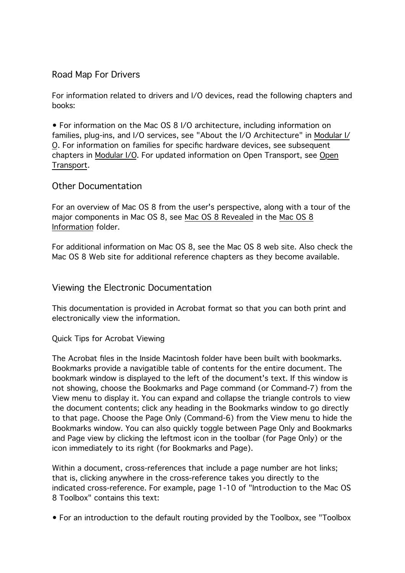## Road Map For Drivers

For information related to drivers and I/O devices, read the following chapters and books:

• For information on the Mac OS 8 I/O architecture, including information on families, plug-ins, and I/O services, see "About the I/O Architecture" in Modular I/ O. For information on families for specific hardware devices, see subsequent chapters in Modular I/O. For updated information on Open Transport, see Open Transport.

#### Other Documentation

For an overview of Mac OS 8 from the user's perspective, along with a tour of the major components in Mac OS 8, see Mac OS 8 Revealed in the Mac OS 8 Information folder.

For additional information on Mac OS 8, see the Mac OS 8 web site. Also check the Mac OS 8 Web site for additional reference chapters as they become available.

#### Viewing the Electronic Documentation

This documentation is provided in Acrobat format so that you can both print and electronically view the information.

#### Quick Tips for Acrobat Viewing

The Acrobat files in the Inside Macintosh folder have been built with bookmarks. Bookmarks provide a navigatible table of contents for the entire document. The bookmark window is displayed to the left of the document's text. If this window is not showing, choose the Bookmarks and Page command (or Command-7) from the View menu to display it. You can expand and collapse the triangle controls to view the document contents; click any heading in the Bookmarks window to go directly to that page. Choose the Page Only (Command-6) from the View menu to hide the Bookmarks window. You can also quickly toggle between Page Only and Bookmarks and Page view by clicking the leftmost icon in the toolbar (for Page Only) or the icon immediately to its right (for Bookmarks and Page).

Within a document, cross-references that include a page number are hot links; that is, clicking anywhere in the cross-reference takes you directly to the indicated cross-reference. For example, page 1-10 of "Introduction to the Mac OS 8 Toolbox" contains this text:

• For an introduction to the default routing provided by the Toolbox, see "Toolbox